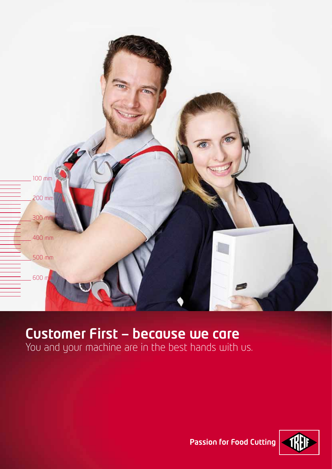

# Customer First — because we care

You and your machine are in the best hands with us.



**Passion for Food Cutting**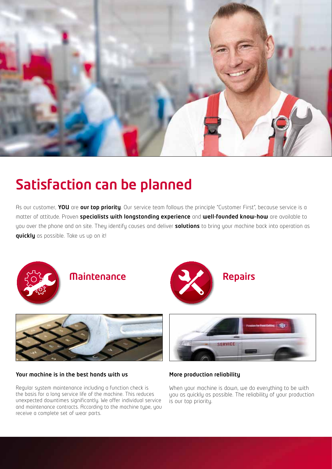

# Satisfaction can be planned

As our customer, YOU are our top priority. Our service team follows the principle "Customer First", because service is a matter of attitude. Proven specialists with longstanding experience and well-founded know-how are available to you over the phone and on site. They identify causes and deliver solutions to bring your machine back into operation as quickly as possible. Take us up on it!







#### Your machine is in the best hands with us

Regular system maintenance including a function check is the basis for a long service life of the machine. This reduces unexpected downtimes significantly. We offer individual service and maintenance contracts. According to the machine type, you receive a complete set of wear parts.



### More production reliability

When your machine is down, we do everything to be with you as quickly as possible. The reliability of your production is our top priority.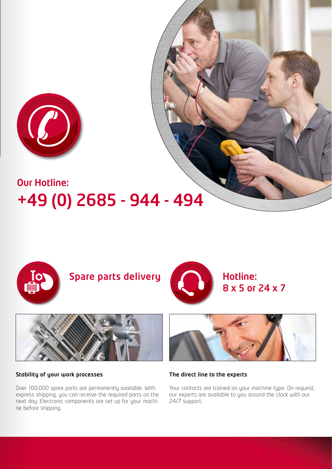

# Our Hotline: +49 (0) 2685 - 944 - 494



Spare parts delivery **All Andrew Hotline:** 



8 x 5 or 24 x 7



#### Stability of your work processes

Over 100,000 spare parts are permanently available. With express shipping, you can receive the required parts on the next day. Electronic components are set up for your machine before shipping.



The direct line to the experts

Your contacts are trained on your machine type. On request, our experts are available to you around the clock with our 24/7 support.